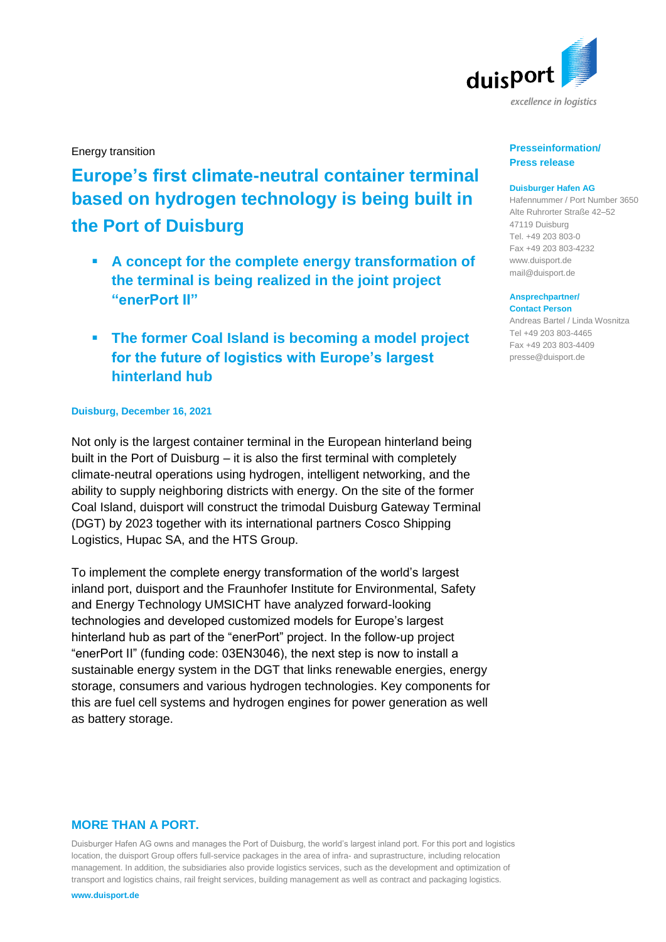

Energy transition

# **Europe's first climate-neutral container terminal based on hydrogen technology is being built in the Port of Duisburg**

- **A concept for the complete energy transformation of the terminal is being realized in the joint project "enerPort II"**
- **The former Coal Island is becoming a model project for the future of logistics with Europe's largest hinterland hub**

## **Duisburg, December 16, 2021**

Not only is the largest container terminal in the European hinterland being built in the Port of Duisburg – it is also the first terminal with completely climate-neutral operations using hydrogen, intelligent networking, and the ability to supply neighboring districts with energy. On the site of the former Coal Island, duisport will construct the trimodal Duisburg Gateway Terminal (DGT) by 2023 together with its international partners Cosco Shipping Logistics, Hupac SA, and the HTS Group.

To implement the complete energy transformation of the world's largest inland port, duisport and the Fraunhofer Institute for Environmental, Safety and Energy Technology UMSICHT have analyzed forward-looking technologies and developed customized models for Europe's largest hinterland hub as part of the "enerPort" project. In the follow-up project "enerPort II" (funding code: 03EN3046), the next step is now to install a sustainable energy system in the DGT that links renewable energies, energy storage, consumers and various hydrogen technologies. Key components for this are fuel cell systems and hydrogen engines for power generation as well as battery storage.

# **MORE THAN A PORT.**

Duisburger Hafen AG owns and manages the Port of Duisburg, the world's largest inland port. For this port and logistics location, the duisport Group offers full-service packages in the area of infra- and suprastructure, including relocation management. In addition, the subsidiaries also provide logistics services, such as the development and optimization of transport and logistics chains, rail freight services, building management as well as contract and packaging logistics.

**www.duisport.de**

## **Presseinformation/ Press release**

## **Duisburger Hafen AG**

Hafennummer / Port Number 3650 Alte Ruhrorter Straße 42–52 47119 Duisburg Tel. +49 203 803-0 Fax +49 203 803-4232 [www.duisport.de](http://www.duisport.de/) [mail@duisport.de](mailto:mail@duisport.de)

#### **Ansprechpartner/ Contact Person**

Andreas Bartel / Linda Wosnitza Tel +49 203 803-4465 Fax +49 203 803-4409 presse@duisport.de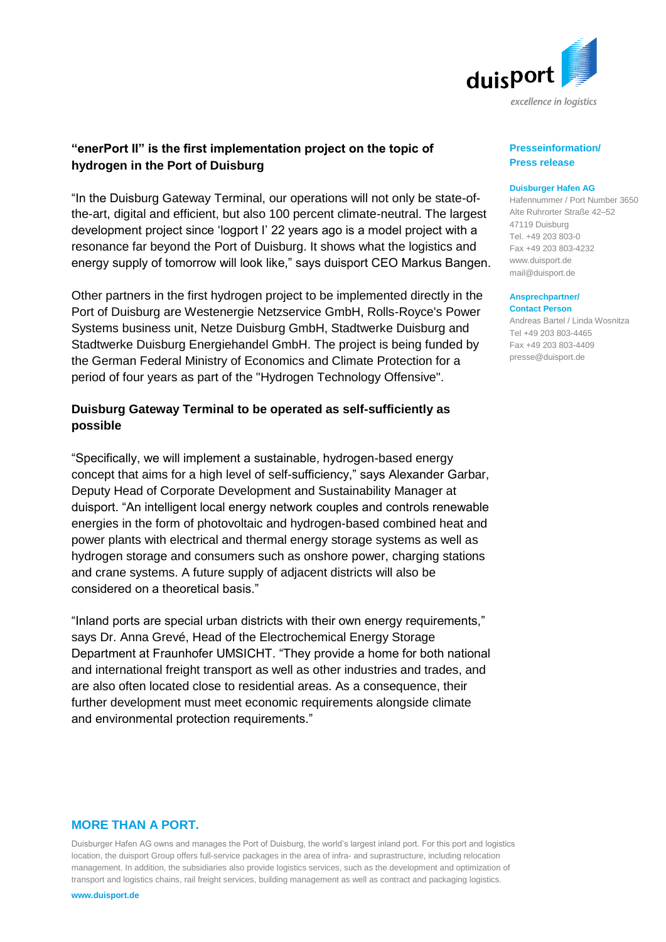

# **"enerPort II" is the first implementation project on the topic of hydrogen in the Port of Duisburg**

"In the Duisburg Gateway Terminal, our operations will not only be state-ofthe-art, digital and efficient, but also 100 percent climate-neutral. The largest development project since 'logport I' 22 years ago is a model project with a resonance far beyond the Port of Duisburg. It shows what the logistics and energy supply of tomorrow will look like," says duisport CEO Markus Bangen.

Other partners in the first hydrogen project to be implemented directly in the Port of Duisburg are Westenergie Netzservice GmbH, Rolls-Royce's Power Systems business unit, Netze Duisburg GmbH, Stadtwerke Duisburg and Stadtwerke Duisburg Energiehandel GmbH. The project is being funded by the German Federal Ministry of Economics and Climate Protection for a period of four years as part of the "Hydrogen Technology Offensive".

# **Duisburg Gateway Terminal to be operated as self-sufficiently as possible**

"Specifically, we will implement a sustainable, hydrogen-based energy concept that aims for a high level of self-sufficiency," says Alexander Garbar, Deputy Head of Corporate Development and Sustainability Manager at duisport. "An intelligent local energy network couples and controls renewable energies in the form of photovoltaic and hydrogen-based combined heat and power plants with electrical and thermal energy storage systems as well as hydrogen storage and consumers such as onshore power, charging stations and crane systems. A future supply of adjacent districts will also be considered on a theoretical basis."

"Inland ports are special urban districts with their own energy requirements," says Dr. Anna Grevé, Head of the Electrochemical Energy Storage Department at Fraunhofer UMSICHT. "They provide a home for both national and international freight transport as well as other industries and trades, and are also often located close to residential areas. As a consequence, their further development must meet economic requirements alongside climate and environmental protection requirements."

# **MORE THAN A PORT.**

Duisburger Hafen AG owns and manages the Port of Duisburg, the world's largest inland port. For this port and logistics location, the duisport Group offers full-service packages in the area of infra- and suprastructure, including relocation management. In addition, the subsidiaries also provide logistics services, such as the development and optimization of transport and logistics chains, rail freight services, building management as well as contract and packaging logistics.

#### **www.duisport.de**

## **Presseinformation/ Press release**

## **Duisburger Hafen AG**

Hafennummer / Port Number 3650 Alte Ruhrorter Straße 42–52 47119 Duisburg Tel. +49 203 803-0 Fax +49 203 803-4232 [www.duisport.de](http://www.duisport.de/) [mail@duisport.de](mailto:mail@duisport.de)

#### **Ansprechpartner/ Contact Person**

Andreas Bartel / Linda Wosnitza Tel +49 203 803-4465 Fax +49 203 803-4409 presse@duisport.de